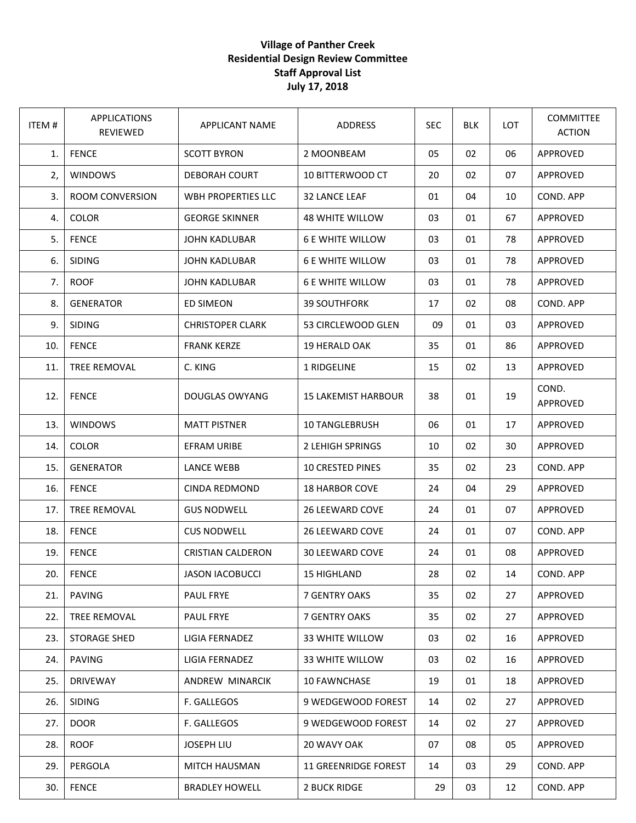## **Village of Panther Creek Residential Design Review Committee Staff Approval List July 17, 2018**

| ITEM# | APPLICATIONS<br>REVIEWED | <b>APPLICANT NAME</b>    | <b>ADDRESS</b>              | <b>SEC</b> | <b>BLK</b> | <b>LOT</b> | <b>COMMITTEE</b><br><b>ACTION</b> |
|-------|--------------------------|--------------------------|-----------------------------|------------|------------|------------|-----------------------------------|
| 1.    | <b>FENCE</b>             | <b>SCOTT BYRON</b>       | 2 MOONBEAM                  | 05         | 02         | 06         | APPROVED                          |
| 2,    | <b>WINDOWS</b>           | <b>DEBORAH COURT</b>     | 10 BITTERWOOD CT            | 20         | 02         | 07         | APPROVED                          |
| 3.    | ROOM CONVERSION          | WBH PROPERTIES LLC       | 32 LANCE LEAF               | 01         | 04         | 10         | COND. APP                         |
| 4.    | <b>COLOR</b>             | <b>GEORGE SKINNER</b>    | <b>48 WHITE WILLOW</b>      | 03         | 01         | 67         | APPROVED                          |
| 5.    | <b>FENCE</b>             | <b>JOHN KADLUBAR</b>     | <b>6 E WHITE WILLOW</b>     | 03         | 01         | 78         | APPROVED                          |
| 6.    | <b>SIDING</b>            | <b>JOHN KADLUBAR</b>     | <b>6 E WHITE WILLOW</b>     | 03         | 01         | 78         | APPROVED                          |
| 7.    | <b>ROOF</b>              | <b>JOHN KADLUBAR</b>     | <b>6 E WHITE WILLOW</b>     | 03         | 01         | 78         | APPROVED                          |
| 8.    | <b>GENERATOR</b>         | ED SIMEON                | <b>39 SOUTHFORK</b>         | 17         | 02         | 08         | COND. APP                         |
| 9.    | <b>SIDING</b>            | <b>CHRISTOPER CLARK</b>  | 53 CIRCLEWOOD GLEN          | 09         | 01         | 03         | APPROVED                          |
| 10.   | <b>FENCE</b>             | <b>FRANK KERZE</b>       | <b>19 HERALD OAK</b>        | 35         | 01         | 86         | APPROVED                          |
| 11.   | TREE REMOVAL             | C. KING                  | 1 RIDGELINE                 | 15         | 02         | 13         | APPROVED                          |
| 12.   | <b>FENCE</b>             | DOUGLAS OWYANG           | <b>15 LAKEMIST HARBOUR</b>  | 38         | 01         | 19         | COND.<br>APPROVED                 |
| 13.   | <b>WINDOWS</b>           | <b>MATT PISTNER</b>      | <b>10 TANGLEBRUSH</b>       | 06         | 01         | 17         | APPROVED                          |
| 14.   | <b>COLOR</b>             | <b>EFRAM URIBE</b>       | 2 LEHIGH SPRINGS            | 10         | 02         | 30         | APPROVED                          |
| 15.   | <b>GENERATOR</b>         | LANCE WEBB               | <b>10 CRESTED PINES</b>     | 35         | 02         | 23         | COND. APP                         |
| 16.   | <b>FENCE</b>             | <b>CINDA REDMOND</b>     | <b>18 HARBOR COVE</b>       | 24         | 04         | 29         | APPROVED                          |
| 17.   | <b>TREE REMOVAL</b>      | <b>GUS NODWELL</b>       | <b>26 LEEWARD COVE</b>      | 24         | 01         | 07         | APPROVED                          |
| 18.   | <b>FENCE</b>             | <b>CUS NODWELL</b>       | <b>26 LEEWARD COVE</b>      | 24         | 01         | 07         | COND. APP                         |
| 19.   | <b>FENCE</b>             | <b>CRISTIAN CALDERON</b> | 30 LEEWARD COVE             | 24         | 01         | 08         | <b>APPROVED</b>                   |
| 20.   | <b>FENCE</b>             | <b>JASON IACOBUCCI</b>   | 15 HIGHLAND                 | 28         | 02         | 14         | COND. APP                         |
| 21.   | <b>PAVING</b>            | <b>PAUL FRYE</b>         | 7 GENTRY OAKS               | 35         | 02         | 27         | APPROVED                          |
| 22.   | TREE REMOVAL             | <b>PAUL FRYE</b>         | 7 GENTRY OAKS               | 35         | 02         | 27         | APPROVED                          |
| 23.   | <b>STORAGE SHED</b>      | LIGIA FERNADEZ           | <b>33 WHITE WILLOW</b>      | 03         | 02         | 16         | APPROVED                          |
| 24.   | <b>PAVING</b>            | LIGIA FERNADEZ           | 33 WHITE WILLOW             | 03         | 02         | 16         | APPROVED                          |
| 25.   | <b>DRIVEWAY</b>          | ANDREW MINARCIK          | 10 FAWNCHASE                | 19         | 01         | 18         | APPROVED                          |
| 26.   | <b>SIDING</b>            | F. GALLEGOS              | 9 WEDGEWOOD FOREST          | 14         | 02         | 27         | <b>APPROVED</b>                   |
| 27.   | <b>DOOR</b>              | F. GALLEGOS              | 9 WEDGEWOOD FOREST          | 14         | 02         | 27         | APPROVED                          |
| 28.   | <b>ROOF</b>              | <b>JOSEPH LIU</b>        | 20 WAVY OAK                 | 07         | 08         | 05         | APPROVED                          |
| 29.   | PERGOLA                  | MITCH HAUSMAN            | <b>11 GREENRIDGE FOREST</b> | 14         | 03         | 29         | COND. APP                         |
| 30.   | <b>FENCE</b>             | <b>BRADLEY HOWELL</b>    | <b>2 BUCK RIDGE</b>         | 29         | 03         | 12         | COND. APP                         |